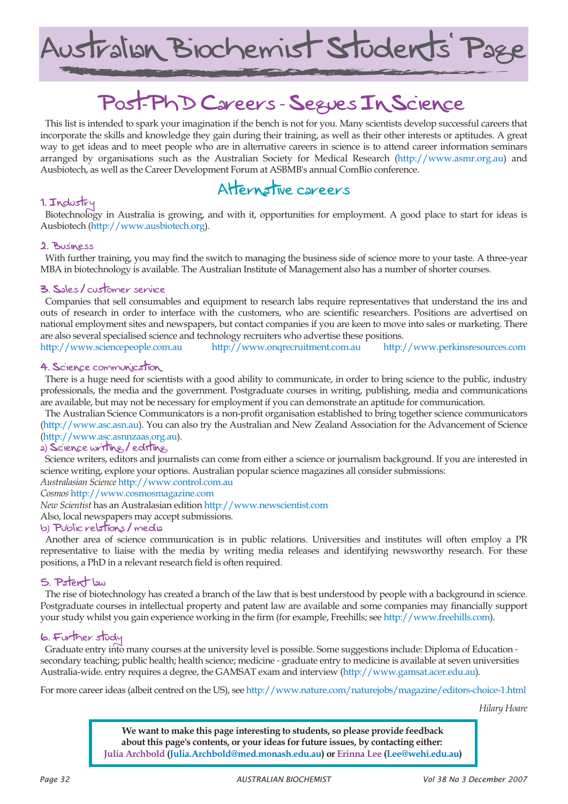Australian Biochemist Students' Page

# Post-PhD Careers - Segues In Science

This list is intended to spark your imagination if the bench is not for you. Many scientists develop successful careers that incorporate the skills and knowledge they gain during their training, as well as their other interests or aptitudes. A great way to get ideas and to meet people who are in alternative careers in science is to attend career information seminars arranged by organisations such as the Australian Society for Medical Research (http://www.asmr.org.au) and Ausbiotech, as well as the Career Development Forum at ASBMB's annual ComBio conference.

### Alternative careers

#### 1. Industry

Biotechnology in Australia is growing, and with it, opportunities for employment. A good place to start for ideas is Ausbiotech (http://www.ausbiotech.org).

#### 2. Business

With further training, you may find the switch to managing the business side of science more to your taste. A three-year MBA in biotechnology is available. The Australian Institute of Management also has a number of shorter courses.

#### 3. Sales / customer service

Companies that sell consumables and equipment to research labs require representatives that understand the ins and outs of research in order to interface with the customers, who are scientific researchers. Positions are advertised on national employment sites and newspapers, but contact companies if you are keen to move into sales or marketing. There are also several specialised science and technology recruiters who advertise these positions.

http://www.sciencepeople.com.au http://www.onqrecruitment.com.au http://www.perkinsresources.com

#### 4. Science communication

There is a huge need for scientists with a good ability to communicate, in order to bring science to the public, industry professionals, the media and the government. Postgraduate courses in writing, publishing, media and communications are available, but may not be necessary for employment if you can demonstrate an aptitude for communication.

The Australian Science Communicators is a non-profit organisation established to bring together science communicators (http://www.asc.asn.au). You can also try the Australian and New Zealand Association for the Advancement of Science (http://www.asc.asnnzaas.org.au).

#### a) Science writing / editing

Science writers, editors and journalists can come from either a science or journalism background. If you are interested in science writing, explore your options. Australian popular science magazines all consider submissions:

*Australasian Science* http://www.control.com.au

*Cosmos* http://www.cosmosmagazine.com

*New Scientist* has an Australasian edition http://www.newscientist.com

Also, local newspapers may accept submissions.

#### b) Public relations / media

Another area of science communication is in public relations. Universities and institutes will often employ a PR representative to liaise with the media by writing media releases and identifying newsworthy research. For these positions, a PhD in a relevant research field is often required.

#### 5. Patent law

The rise of biotechnology has created a branch of the law that is best understood by people with a background in science. Postgraduate courses in intellectual property and patent law are available and some companies may financially support your study whilst you gain experience working in the firm (for example, Freehills; see http://www.freehills.com).

#### 6. Further study

Graduate entry into many courses at the university level is possible. Some suggestions include: Diploma of Education secondary teaching; public health; health science; medicine - graduate entry to medicine is available at seven universities Australia-wide. entry requires a degree, the GAMSAT exam and interview (http://www.gamsat.acer.edu.au).

For more career ideas (albeit centred on the US), see http://www.nature.com/naturejobs/magazine/editors-choice-1.html

*Hilary Hoare*

**We want to make this page interesting to students, so please provide feedback about this page's contents, or your ideas for future issues, by contacting either: Julia Archbold (Julia.Archbold@med.monash.edu.au) or Erinna Lee (Lee@wehi.edu.au)**